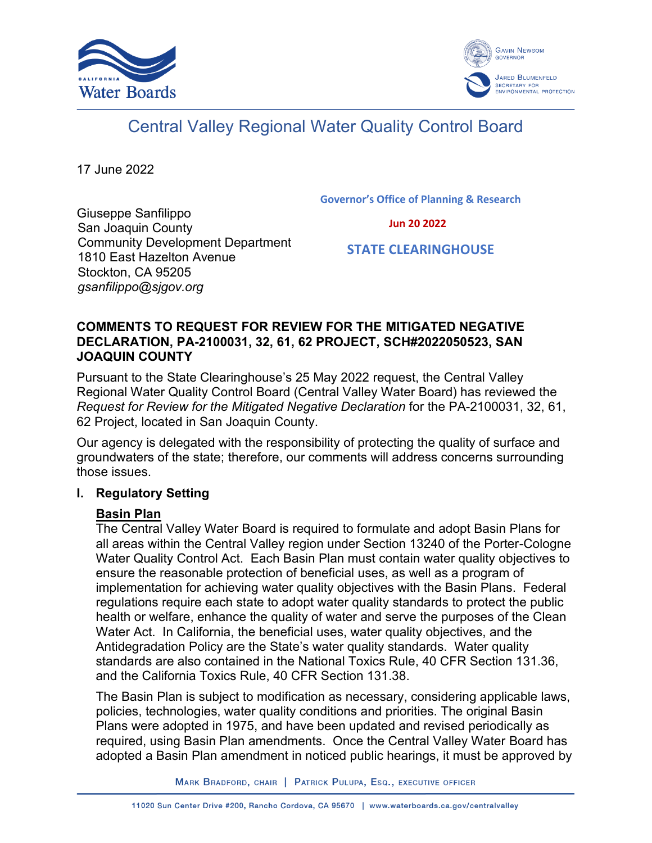



# Central Valley Regional Water Quality Control Board

17 June 2022

**Governor's Office of Planning & Research**

 **Jun 20 2022**

Giuseppe Sanfilippo San Joaquin County Community Development Department 1810 East Hazelton Avenue Stockton, CA 95205 *gsanfilippo@sjgov.org*

 **STATE CLEARINGHOUSE**

# **COMMENTS TO REQUEST FOR REVIEW FOR THE MITIGATED NEGATIVE DECLARATION, PA-2100031, 32, 61, 62 PROJECT, SCH#2022050523, SAN JOAQUIN COUNTY**

Pursuant to the State Clearinghouse's 25 May 2022 request, the Central Valley Regional Water Quality Control Board (Central Valley Water Board) has reviewed the *Request for Review for the Mitigated Negative Declaration* for the PA-2100031, 32, 61, 62 Project, located in San Joaquin County.

Our agency is delegated with the responsibility of protecting the quality of surface and groundwaters of the state; therefore, our comments will address concerns surrounding those issues.

# **I. Regulatory Setting**

# **Basin Plan**

The Central Valley Water Board is required to formulate and adopt Basin Plans for all areas within the Central Valley region under Section 13240 of the Porter-Cologne Water Quality Control Act. Each Basin Plan must contain water quality objectives to ensure the reasonable protection of beneficial uses, as well as a program of implementation for achieving water quality objectives with the Basin Plans. Federal regulations require each state to adopt water quality standards to protect the public health or welfare, enhance the quality of water and serve the purposes of the Clean Water Act. In California, the beneficial uses, water quality objectives, and the Antidegradation Policy are the State's water quality standards. Water quality standards are also contained in the National Toxics Rule, 40 CFR Section 131.36, and the California Toxics Rule, 40 CFR Section 131.38.

The Basin Plan is subject to modification as necessary, considering applicable laws, policies, technologies, water quality conditions and priorities. The original Basin Plans were adopted in 1975, and have been updated and revised periodically as required, using Basin Plan amendments. Once the Central Valley Water Board has adopted a Basin Plan amendment in noticed public hearings, it must be approved by

MARK BRADFORD, CHAIR | PATRICK PULUPA, ESQ., EXECUTIVE OFFICER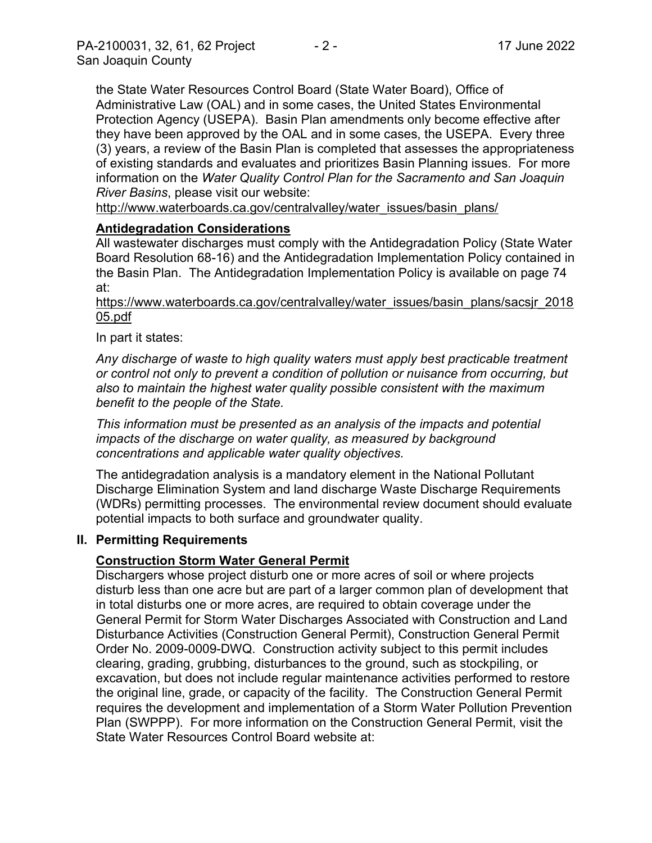the State Water Resources Control Board (State Water Board), Office of Administrative Law (OAL) and in some cases, the United States Environmental Protection Agency (USEPA). Basin Plan amendments only become effective after they have been approved by the OAL and in some cases, the USEPA. Every three (3) years, a review of the Basin Plan is completed that assesses the appropriateness of existing standards and evaluates and prioritizes Basin Planning issues. For more information on the *Water Quality Control Plan for the Sacramento and San Joaquin River Basins*, please visit our website:

[http://www.waterboards.ca.gov/centralvalley/water\\_issues/basin\\_plans/](http://www.waterboards.ca.gov/centralvalley/water_issues/basin_plans/)

# **Antidegradation Considerations**

All wastewater discharges must comply with the Antidegradation Policy (State Water Board Resolution 68-16) and the Antidegradation Implementation Policy contained in the Basin Plan. The Antidegradation Implementation Policy is available on page 74 at:

https://www.waterboards.ca.gov/centralvalley/water\_issues/basin\_plans/sacsjr\_2018 05.pdf

In part it states:

*Any discharge of waste to high quality waters must apply best practicable treatment or control not only to prevent a condition of pollution or nuisance from occurring, but also to maintain the highest water quality possible consistent with the maximum benefit to the people of the State.*

*This information must be presented as an analysis of the impacts and potential impacts of the discharge on water quality, as measured by background concentrations and applicable water quality objectives.*

The antidegradation analysis is a mandatory element in the National Pollutant Discharge Elimination System and land discharge Waste Discharge Requirements (WDRs) permitting processes. The environmental review document should evaluate potential impacts to both surface and groundwater quality.

## **II. Permitting Requirements**

# **Construction Storm Water General Permit**

Dischargers whose project disturb one or more acres of soil or where projects disturb less than one acre but are part of a larger common plan of development that in total disturbs one or more acres, are required to obtain coverage under the General Permit for Storm Water Discharges Associated with Construction and Land Disturbance Activities (Construction General Permit), Construction General Permit Order No. 2009-0009-DWQ. Construction activity subject to this permit includes clearing, grading, grubbing, disturbances to the ground, such as stockpiling, or excavation, but does not include regular maintenance activities performed to restore the original line, grade, or capacity of the facility. The Construction General Permit requires the development and implementation of a Storm Water Pollution Prevention Plan (SWPPP). For more information on the Construction General Permit, visit the State Water Resources Control Board website at: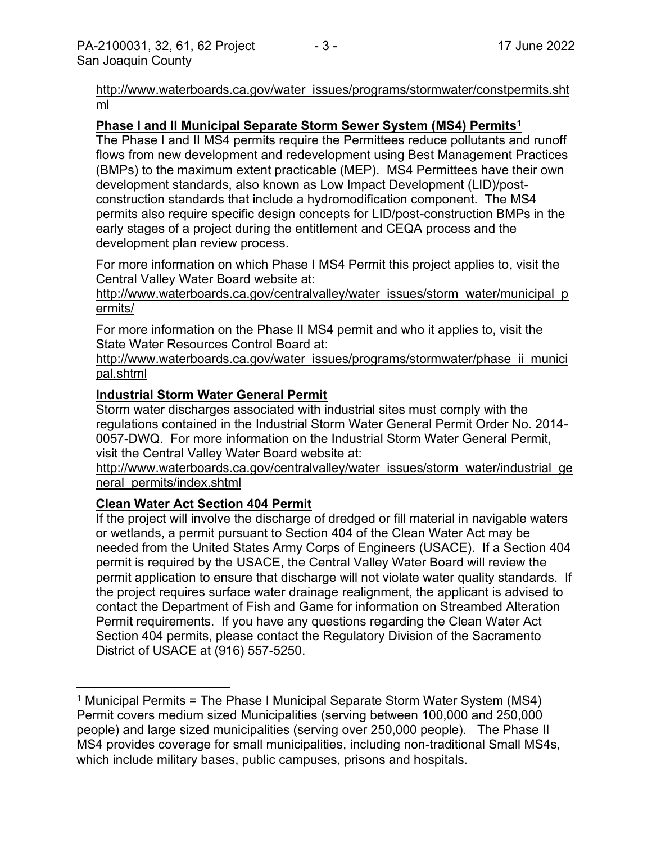[http://www.waterboards.ca.gov/water\\_issues/programs/stormwater/constpermits.sht](http://www.waterboards.ca.gov/water_issues/programs/stormwater/constpermits.shtml) [ml](http://www.waterboards.ca.gov/water_issues/programs/stormwater/constpermits.shtml)

## **Phase I and II Municipal Separate Storm Sewer System (MS4) Permits<sup>1</sup>**

The Phase I and II MS4 permits require the Permittees reduce pollutants and runoff flows from new development and redevelopment using Best Management Practices (BMPs) to the maximum extent practicable (MEP). MS4 Permittees have their own development standards, also known as Low Impact Development (LID)/postconstruction standards that include a hydromodification component. The MS4 permits also require specific design concepts for LID/post-construction BMPs in the early stages of a project during the entitlement and CEQA process and the development plan review process.

For more information on which Phase I MS4 Permit this project applies to, visit the Central Valley Water Board website at:

http://www.waterboards.ca.gov/centralvalley/water\_issues/storm\_water/municipal\_p ermits/

For more information on the Phase II MS4 permit and who it applies to, visit the State Water Resources Control Board at:

http://www.waterboards.ca.gov/water\_issues/programs/stormwater/phase\_ii\_munici pal.shtml

#### **Industrial Storm Water General Permit**

Storm water discharges associated with industrial sites must comply with the regulations contained in the Industrial Storm Water General Permit Order No. 2014- 0057-DWQ. For more information on the Industrial Storm Water General Permit, visit the Central Valley Water Board website at:

http://www.waterboards.ca.gov/centralvalley/water\_issues/storm\_water/industrial\_ge neral\_permits/index.shtml

## **Clean Water Act Section 404 Permit**

If the project will involve the discharge of dredged or fill material in navigable waters or wetlands, a permit pursuant to Section 404 of the Clean Water Act may be needed from the United States Army Corps of Engineers (USACE). If a Section 404 permit is required by the USACE, the Central Valley Water Board will review the permit application to ensure that discharge will not violate water quality standards. If the project requires surface water drainage realignment, the applicant is advised to contact the Department of Fish and Game for information on Streambed Alteration Permit requirements. If you have any questions regarding the Clean Water Act Section 404 permits, please contact the Regulatory Division of the Sacramento District of USACE at (916) 557-5250.

<sup>&</sup>lt;sup>1</sup> Municipal Permits = The Phase I Municipal Separate Storm Water System (MS4) Permit covers medium sized Municipalities (serving between 100,000 and 250,000 people) and large sized municipalities (serving over 250,000 people). The Phase II MS4 provides coverage for small municipalities, including non-traditional Small MS4s, which include military bases, public campuses, prisons and hospitals.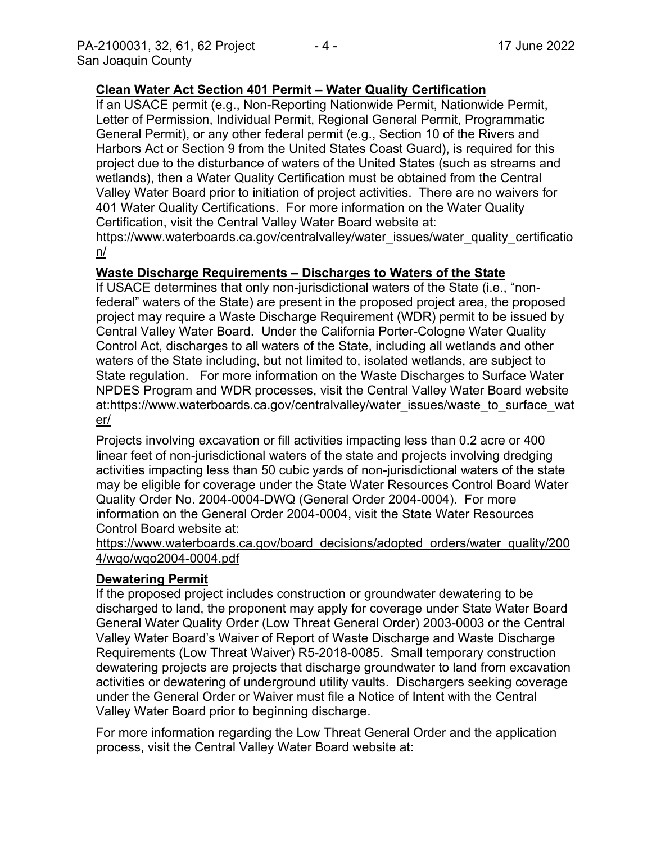## **Clean Water Act Section 401 Permit – Water Quality Certification**

If an USACE permit (e.g., Non-Reporting Nationwide Permit, Nationwide Permit, Letter of Permission, Individual Permit, Regional General Permit, Programmatic General Permit), or any other federal permit (e.g., Section 10 of the Rivers and Harbors Act or Section 9 from the United States Coast Guard), is required for this project due to the disturbance of waters of the United States (such as streams and wetlands), then a Water Quality Certification must be obtained from the Central Valley Water Board prior to initiation of project activities. There are no waivers for 401 Water Quality Certifications. For more information on the Water Quality Certification, visit the Central Valley Water Board website at: https://www.waterboards.ca.gov/centralvalley/water\_issues/water\_quality\_certificatio

n/

## **Waste Discharge Requirements – Discharges to Waters of the State**

If USACE determines that only non-jurisdictional waters of the State (i.e., "nonfederal" waters of the State) are present in the proposed project area, the proposed project may require a Waste Discharge Requirement (WDR) permit to be issued by Central Valley Water Board. Under the California Porter-Cologne Water Quality Control Act, discharges to all waters of the State, including all wetlands and other waters of the State including, but not limited to, isolated wetlands, are subject to State regulation. For more information on the Waste Discharges to Surface Water NPDES Program and WDR processes, visit the Central Valley Water Board website at:https://www.waterboards.ca.gov/centralvalley/water\_issues/waste\_to\_surface\_wat er/

Projects involving excavation or fill activities impacting less than 0.2 acre or 400 linear feet of non-jurisdictional waters of the state and projects involving dredging activities impacting less than 50 cubic yards of non-jurisdictional waters of the state may be eligible for coverage under the State Water Resources Control Board Water Quality Order No. 2004-0004-DWQ (General Order 2004-0004). For more information on the General Order 2004-0004, visit the State Water Resources Control Board website at:

## https://www.waterboards.ca.gov/board\_decisions/adopted\_orders/water\_quality/200 4/wqo/wqo2004-0004.pdf

## **Dewatering Permit**

If the proposed project includes construction or groundwater dewatering to be discharged to land, the proponent may apply for coverage under State Water Board General Water Quality Order (Low Threat General Order) 2003-0003 or the Central Valley Water Board's Waiver of Report of Waste Discharge and Waste Discharge Requirements (Low Threat Waiver) R5-2018-0085. Small temporary construction dewatering projects are projects that discharge groundwater to land from excavation activities or dewatering of underground utility vaults. Dischargers seeking coverage under the General Order or Waiver must file a Notice of Intent with the Central Valley Water Board prior to beginning discharge.

For more information regarding the Low Threat General Order and the application process, visit the Central Valley Water Board website at: